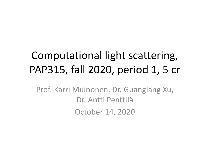# Computational light scattering, PAP315, fall 2020, period 1, 5 cr

Prof. Karri Muinonen, Dr. Guanglang Xu, Dr. Antti Penttilä October 14, 2020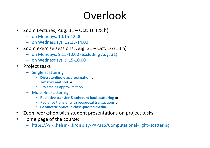## Overlook

- Zoom Lectures, Aug.  $31 Oct. 16 (28 h)$ 
	- on Mondays, 10.15-12.00
	- on Wednesdays, 12.15-14.00
- Zoom exercise sessions, Aug.  $31 Oct. 16 (13 h)$ 
	- on Mondays, 9.15-10.00 (excluding Aug. 31)
	- on Wednesdays, 9.15-10.00
- Project tasks
	- Single scattering
		- **Discrete-dipole approximation** or
		- **T-matrix method** or
		- Ray-tracing approximation
	- Multiple scattering
		- **Radiative transfer & coherent backscattering** or
		- Radiative transfer with reciprocal transactions or
		- **Geometric optics in close-packed media**
- Zoom workshop with student presentations on project tasks
- Home page of the course:
	- https://wiki.helsinki.fi/display/PAP315/Computational+light+scattering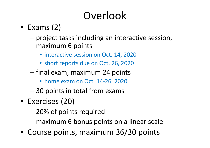# Overlook

- Exams (2)
	- project tasks including an interactive session, maximum 6 points
		- interactive session on Oct. 14, 2020
		- short reports due on Oct. 26, 2020
	- final exam, maximum 24 points
		- home exam on Oct. 14-26, 2020
	- 30 points in total from exams
- Exercises (20)
	- 20% of points required
	- maximum 6 bonus points on a linear scale
- Course points, maximum 36/30 points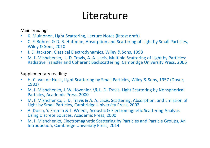## Literature

Main reading:

- K. Muinonen, Light Scattering, Lecture Notes (latest draft)
- C. F. Bohren & D. R. Huffman, Absorption and Scattering of Light by Small Particles, Wiley & Sons, 2010
- J. D. Jackson, Classical Electrodynamics, Wiley & Sons, 1998
- M. I. Mishchenko, L. D. Travis, A. A. Lacis, Multiple Scattering of Light by Particles: Radiative Transfer and Coherent Backscattering, Cambridge University Press, 2006

#### Supplementary reading:

- H. C. van de Hulst, Light Scattering by Small Particles, Wiley & Sons, 1957 (Dover, 1981)
- M. I. Mishchenko, J. W. Hovenier, \& L. D. Travis, Light Scattering by Nonspherical Particles, Academic Press, 2000
- M. I. Mishchenko, L. D. Travis & A. A. Lacis, Scattering, Absorption, and Emission of Light by Small Particles, Cambridge University Press, 2002
- A. Doicu, Y. Eremin & T. Wriedt, Acoustic & Electromagnetic Scattering Analysis Using Discrete Sources, Academic Press, 2000
- M. I. Mishchenko, Electromagnetic Scattering by Particles and Particle Groups, An Introduction, Cambridge University Press, 2014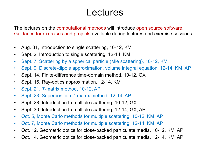## Lectures

The lectures on the computational methods will introduce open source software. Guidance for exercises and projects available during lectures and exercise sessions.

- Aug. 31, Introduction to single scattering, 10-12, KM
- Sept. 2, Introduction to single scattering, 12-14, KM
- Sept. 7, Scattering by a spherical particle (Mie scattering), 10-12, KM
- Sept. 9, Discrete-dipole approximation, volume integral equation, 12-14, KM, AP
- Sept. 14, Finite-difference time-domain method, 10-12, GX
- Sept. 16, Ray-optics approximation, 12-14, KM
- Sept. 21, *T*-matrix method, 10-12, AP
- Sept. 23, Superposition *T*-matrix method, 12-14, AP
- Sept. 28, Introduction to multiple scattering, 10-12, GX
- Sept. 30, Introduction to multiple scattering, 12-14, GX, AP
- Oct. 5, Monte Carlo methods for multiple scattering, 10-12, KM, AP
- Oct. 7, Monte Carlo methods for multiple scattering, 12-14, KM, AP
- Oct. 12, Geometric optics for close-packed particulate media, 10-12, KM, AP
- Oct. 14, Geometric optics for close-packed particulate media, 12-14, KM, AP